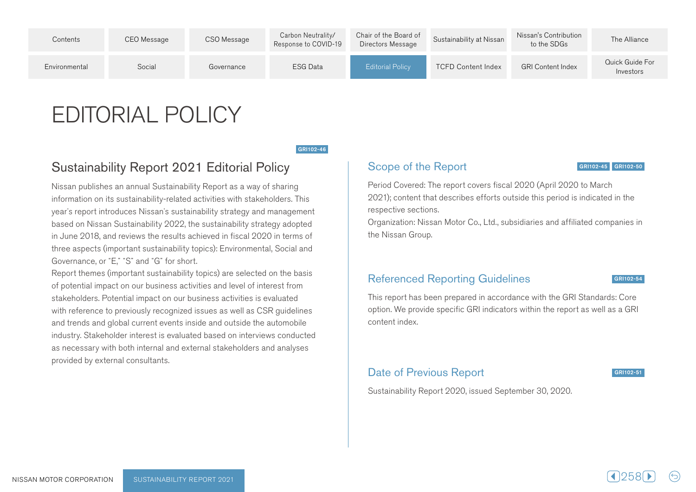| Contents      | CEO Message | CSO Message | Carbon Neutrality/<br>Response to COVID-19 | Chair of the Board of<br>Directors Message | Sustainability at Nissan  | Nissan's Contribution<br>to the SDGs | The Alliance                 |
|---------------|-------------|-------------|--------------------------------------------|--------------------------------------------|---------------------------|--------------------------------------|------------------------------|
| Environmental | Social      | Governance  | <b>ESG Data</b>                            | <b>Editorial Policy</b>                    | <b>TCFD Content Index</b> | <b>GRI Content Index</b>             | Quick Guide For<br>Investors |

# **EDITORIAL POLICY**

GRI102-46

# **Sustainability Report 2021 Editorial Policy**

Nissan publishes an annual Sustainability Report as a way of sharing information on its sustainability-related activities with stakeholders. This year's report introduces Nissan's sustainability strategy and management based on Nissan Sustainability 2022, the sustainability strategy adopted in June 2018, and reviews the results achieved in fiscal 2020 in terms of three aspects (important sustainability topics): Environmental, Social and Governance, or "E," "S" and "G" for short.

Report themes (important sustainability topics) are selected on the basis of potential impact on our business activities and level of interest from stakeholders. Potential impact on our business activities is evaluated with reference to previously recognized issues as well as CSR guidelines and trends and global current events inside and outside the automobile industry. Stakeholder interest is evaluated based on interviews conducted as necessary with both internal and external stakeholders and analyses provided by external consultants.

#### Scope of the Report

GRI102-45 GRI102-50

Period Covered: The report covers fiscal 2020 (April 2020 to March 2021); content that describes efforts outside this period is indicated in the respective sections.

Organization: Nissan Motor Co., Ltd., subsidiaries and affiliated companies in the Nissan Group.

## Referenced Reporting Guidelines

GRI102-54

This report has been prepared in accordance with the GRI Standards: Core option. We provide specific GRI indicators within the report as well as a GRI content index.

## Date of Previous Report

GRI102-51

Sustainability Report 2020, issued September 30, 2020.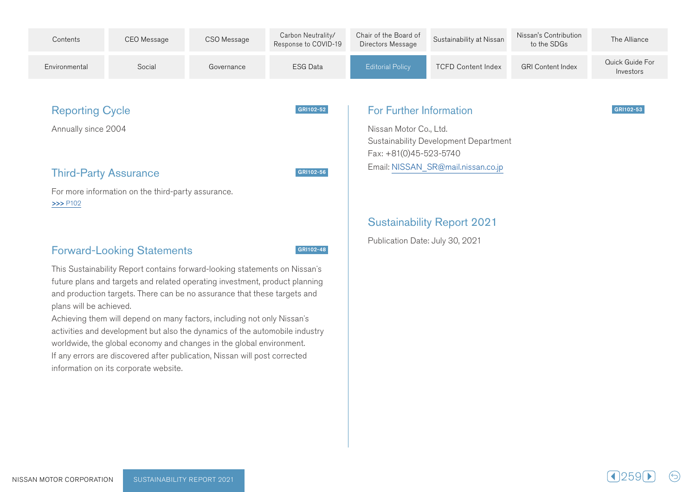

GRI102-52

GRI102-56

GRI102-48

# **Reporting Cycle**

Annually since 2004

## **Third-Party Assurance**

For more information on the third-party assurance.  $>>$  P102

# **Forward-Looking Statements**

This Sustainability Report contains forward-looking statements on Nissan's future plans and targets and related operating investment, product planning and production targets. There can be no assurance that these targets and plans will be achieved.

Achieving them will depend on many factors, including not only Nissan's activities and development but also the dynamics of the automobile industry worldwide, the global economy and changes in the global environment. If any errors are discovered after publication, Nissan will post corrected information on its corporate website.

#### **For Further Information**

Nissan Motor Co., Ltd. Sustainability Development Department  $Fax: +81(0)45-523-5740$ Email: NISSAN\_SR@mail.nissan.co.jp

## **Sustainability Report 2021**

Publication Date: July 30, 2021